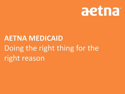

# **AETNA MEDICAID** Doing the right thing for the right reason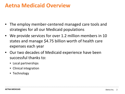# **Aetna Medicaid Overview**

- The employ member-centered managed care tools and strategies for all our Medicaid populations
- We provide services for over 1.2 million members in 10 states and manage \$4.75 billion worth of health care expenses each year
- Our two decades of Medicaid experience have been successful thanks to:
	- Local partnerships
	- Clinical integration
	- Technology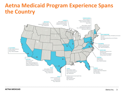# **Aetna Medicaid Program Experience Spans the Country**



 $1.1.1.1$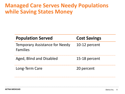# **Managed Care Serves Needy Populations while Saving States Money**

| <b>Population Served</b>                          | <b>Cost Savings</b> |
|---------------------------------------------------|---------------------|
| <b>Temporary Assistance for Needy</b><br>Families | 10-12 percent       |
| Aged, Blind and Disabled                          | 15-18 percent       |
| Long-Term Care                                    | 20 percent          |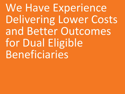We Have Experience Delivering Lower Costs and Better Outcomes for Dual Eligible Beneficiaries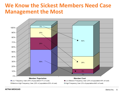# **We Know the Sickest Members Need Case Management the Most**



**AETNA MEDICAID** Aetna Inc. 6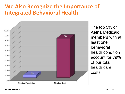# **We Also Recognize the Importance of Integrated Behavioral Health**



The top 5% of Aetna Medicaid members with at least one behavioral health condition account for 79% of our total health care costs.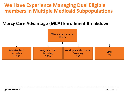#### **We Have Experience Managing Dual Eligible members in Multiple Medicaid Subpopulations**

#### **Mercy Care Advantage (MCA) Enrollment Breakdown**

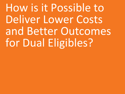How is it Possible to Deliver Lower Costs and Better Outcomes for Dual Eligibles?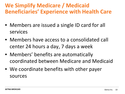# **We Simplify Medicare / Medicaid Beneficiaries' Experience with Health Care**

- Members are issued a single ID card for all services
- Members have access to a consolidated call center 24 hours a day, 7 days a week
- Members' benefits are automatically coordinated between Medicare and Medicaid
- We coordinate benefits with other payer sources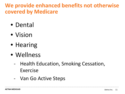# **We provide enhanced benefits not otherwise covered by Medicare**

- Dental
- Vision
- Hearing
- Wellness
	- Health Education, Smoking Cessation, Exercise
	- Van Go Active Steps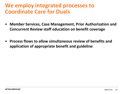# **We employ integrated processes to Coordinate Care for Duals**

- **Member Services, Case Management, Prior Authorization and Concurrent Review staff education on benefit coverage**
- **Process flows to allow simultaneous review of benefits and application of appropriate benefit and guideline**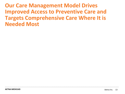**Our Care Management Model Drives Improved Access to Preventive Care and Targets Comprehensive Care Where It is Needed Most**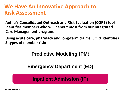# **We Have An Innovative Approach to Risk Assessment**

**Aetna's Consolidated Outreach and Risk Evaluation (CORE) tool identifies members who will benefit most from our Integrated Care Management program.**

**Using acute care, pharmacy and long-term claims, CORE identifies 3 types of member risk:**

#### **Predictive Modeling (PM**)

#### **Emergency Department (ED)**

#### **Inpatient Admission (IP)**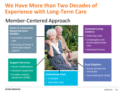# **We Have More than Two Decades of Experience with Long-Term Care**

### Member-Centered Approach

**Home & Community-Based Services (HCBS):**

- Consumer-directed care
- Full array of home & community-based support

#### **Support Services:**

- Home modifications
- Assistive equipment
- Durable medical equipment (DME)



#### **Institutional Care:**

- Custodial
- Specialty Care

#### **Assisted-Living Centers:**

- Adult-day care
- Congregate care homes/adult foster care
- Individual homes

#### **Dual Eligibles:**

- Acute services for non-duals
- Cost sharing for duals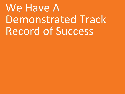# We Have A Demonstrated Track Record of Success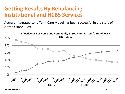# **Getting Results By Rebalancing Institutional and HCBS Services**

Aetna's Integrated Long-Term Care Model has been successful in the state of Arizona since 1989

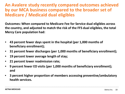#### **An Avalere study recently compared outcomes achieved by our MCA business compared to the broader set of Medicare / Medicaid dual eligibles**

**Outcomes: When compared to Medicare Fee for Service dual eligibles across the country, and adjusted to match the risk of the FFS dual eligibles, the total Mercy Care population had:**

- **43 percent fewer days spent in the hospital (per 1,000 months of beneficiary enrollment);**
- **31 percent fewer discharges (per 1,000 months of beneficiary enrollment);**
- **19 percent lower average length of stay;**
- **21 percent lower readmission rate;**
- **9 percent fewer ED visits (per 1,000 months of beneficiary enrollment); and**
- **3 percent higher proportion of members accessing preventive/ambulatory health services.**

**AETNA MEDICAID** Aetna Inc. 28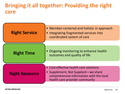### **Bringing it all together: Providing the right care**